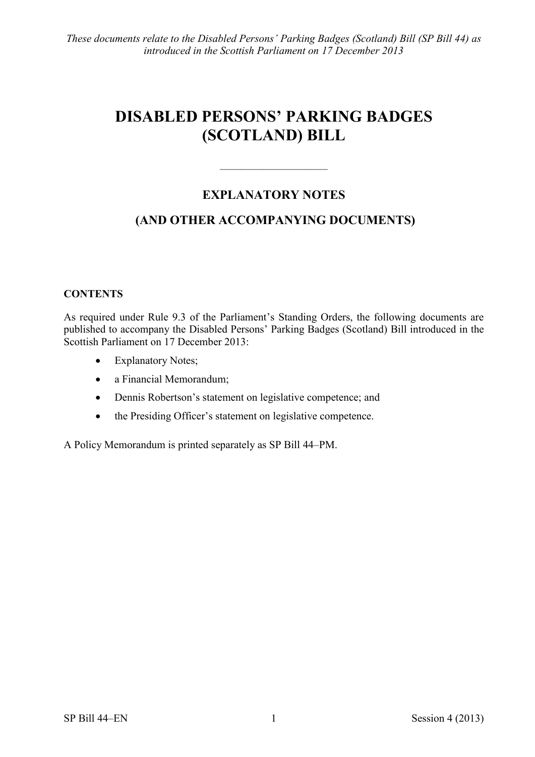# **DISABLED PERSONS' PARKING BADGES (SCOTLAND) BILL**

# **EXPLANATORY NOTES**

 $\frac{1}{\sqrt{2}}$ 

# **(AND OTHER ACCOMPANYING DOCUMENTS)**

# **CONTENTS**

As required under Rule 9.3 of the Parliament's Standing Orders, the following documents are published to accompany the Disabled Persons' Parking Badges (Scotland) Bill introduced in the Scottish Parliament on 17 December 2013:

- Explanatory Notes;
- a Financial Memorandum;
- Dennis Robertson's statement on legislative competence; and
- the Presiding Officer's statement on legislative competence.

A Policy Memorandum is printed separately as SP Bill 44–PM.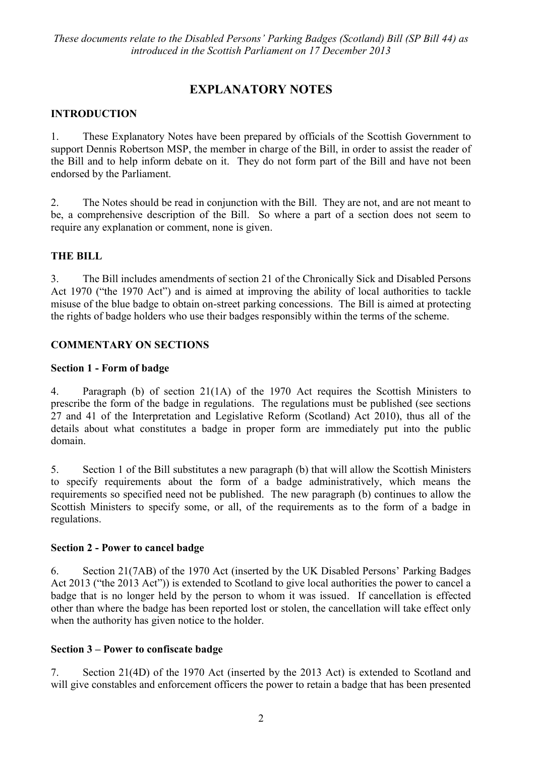# **EXPLANATORY NOTES**

# **INTRODUCTION**

1. These Explanatory Notes have been prepared by officials of the Scottish Government to support Dennis Robertson MSP, the member in charge of the Bill, in order to assist the reader of the Bill and to help inform debate on it. They do not form part of the Bill and have not been endorsed by the Parliament.

2. The Notes should be read in conjunction with the Bill. They are not, and are not meant to be, a comprehensive description of the Bill. So where a part of a section does not seem to require any explanation or comment, none is given.

### **THE BILL**

3. The Bill includes amendments of section 21 of the Chronically Sick and Disabled Persons Act 1970 ("the 1970 Act") and is aimed at improving the ability of local authorities to tackle misuse of the blue badge to obtain on-street parking concessions. The Bill is aimed at protecting the rights of badge holders who use their badges responsibly within the terms of the scheme.

### **COMMENTARY ON SECTIONS**

#### **Section 1 - Form of badge**

4. Paragraph (b) of section 21(1A) of the 1970 Act requires the Scottish Ministers to prescribe the form of the badge in regulations. The regulations must be published (see sections 27 and 41 of the Interpretation and Legislative Reform (Scotland) Act 2010), thus all of the details about what constitutes a badge in proper form are immediately put into the public domain.

5. Section 1 of the Bill substitutes a new paragraph (b) that will allow the Scottish Ministers to specify requirements about the form of a badge administratively, which means the requirements so specified need not be published. The new paragraph (b) continues to allow the Scottish Ministers to specify some, or all, of the requirements as to the form of a badge in regulations.

#### **Section 2 - Power to cancel badge**

6. Section 21(7AB) of the 1970 Act (inserted by the UK Disabled Persons' Parking Badges Act 2013 ("the 2013 Act")) is extended to Scotland to give local authorities the power to cancel a badge that is no longer held by the person to whom it was issued. If cancellation is effected other than where the badge has been reported lost or stolen, the cancellation will take effect only when the authority has given notice to the holder.

### **Section 3 – Power to confiscate badge**

<span id="page-1-0"></span>7. Section 21(4D) of the 1970 Act (inserted by the 2013 Act) is extended to Scotland and will give constables and enforcement officers the power to retain a badge that has been presented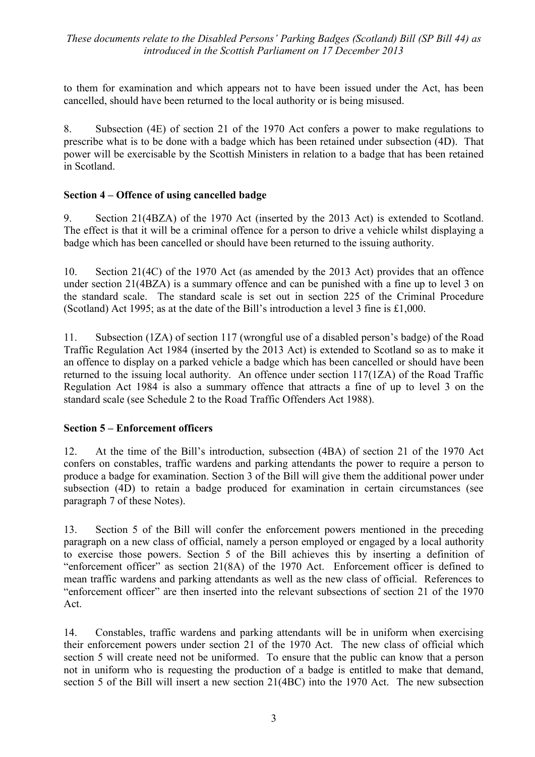to them for examination and which appears not to have been issued under the Act, has been cancelled, should have been returned to the local authority or is being misused.

8. Subsection (4E) of section 21 of the 1970 Act confers a power to make regulations to prescribe what is to be done with a badge which has been retained under subsection (4D). That power will be exercisable by the Scottish Ministers in relation to a badge that has been retained in Scotland.

# **Section 4 – Offence of using cancelled badge**

9. Section 21(4BZA) of the 1970 Act (inserted by the 2013 Act) is extended to Scotland. The effect is that it will be a criminal offence for a person to drive a vehicle whilst displaying a badge which has been cancelled or should have been returned to the issuing authority.

10. Section 21(4C) of the 1970 Act (as amended by the 2013 Act) provides that an offence under section 21(4BZA) is a summary offence and can be punished with a fine up to level 3 on the standard scale. The standard scale is set out in section 225 of the Criminal Procedure (Scotland) Act 1995; as at the date of the Bill's introduction a level 3 fine is £1,000.

11. Subsection (1ZA) of section 117 (wrongful use of a disabled person's badge) of the Road Traffic Regulation Act 1984 (inserted by the 2013 Act) is extended to Scotland so as to make it an offence to display on a parked vehicle a badge which has been cancelled or should have been returned to the issuing local authority. An offence under section 117(1ZA) of the Road Traffic Regulation Act 1984 is also a summary offence that attracts a fine of up to level 3 on the standard scale (see Schedule 2 to the Road Traffic Offenders Act 1988).

### **Section 5 – Enforcement officers**

12. At the time of the Bill's introduction, subsection (4BA) of section 21 of the 1970 Act confers on constables, traffic wardens and parking attendants the power to require a person to produce a badge for examination. Section 3 of the Bill will give them the additional power under subsection (4D) to retain a badge produced for examination in certain circumstances (see paragraph [7](#page-1-0) of these Notes).

13. Section 5 of the Bill will confer the enforcement powers mentioned in the preceding paragraph on a new class of official, namely a person employed or engaged by a local authority to exercise those powers. Section 5 of the Bill achieves this by inserting a definition of "enforcement officer" as section 21(8A) of the 1970 Act. Enforcement officer is defined to mean traffic wardens and parking attendants as well as the new class of official. References to "enforcement officer" are then inserted into the relevant subsections of section 21 of the 1970 Act.

14. Constables, traffic wardens and parking attendants will be in uniform when exercising their enforcement powers under section 21 of the 1970 Act. The new class of official which section 5 will create need not be uniformed. To ensure that the public can know that a person not in uniform who is requesting the production of a badge is entitled to make that demand, section 5 of the Bill will insert a new section 21(4BC) into the 1970 Act. The new subsection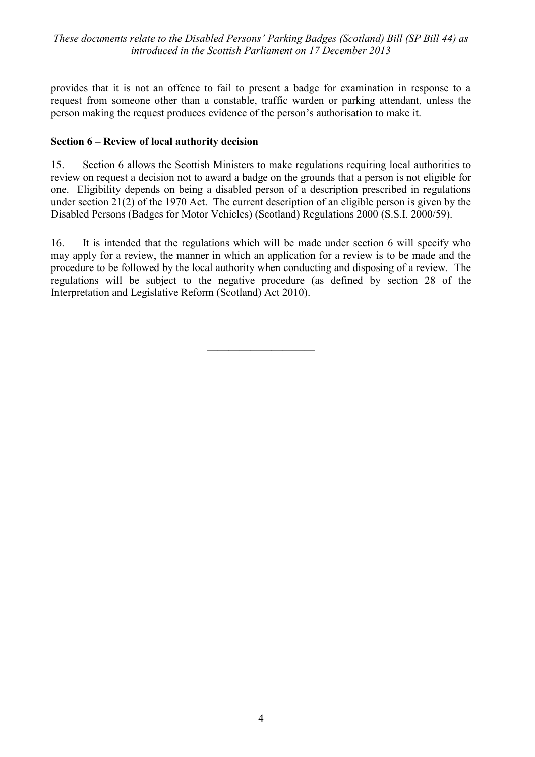provides that it is not an offence to fail to present a badge for examination in response to a request from someone other than a constable, traffic warden or parking attendant, unless the person making the request produces evidence of the person's authorisation to make it.

### **Section 6 – Review of local authority decision**

15. Section 6 allows the Scottish Ministers to make regulations requiring local authorities to review on request a decision not to award a badge on the grounds that a person is not eligible for one. Eligibility depends on being a disabled person of a description prescribed in regulations under section 21(2) of the 1970 Act. The current description of an eligible person is given by the Disabled Persons (Badges for Motor Vehicles) (Scotland) Regulations 2000 (S.S.I. 2000/59).

16. It is intended that the regulations which will be made under section 6 will specify who may apply for a review, the manner in which an application for a review is to be made and the procedure to be followed by the local authority when conducting and disposing of a review. The regulations will be subject to the negative procedure (as defined by section 28 of the Interpretation and Legislative Reform (Scotland) Act 2010).

——————————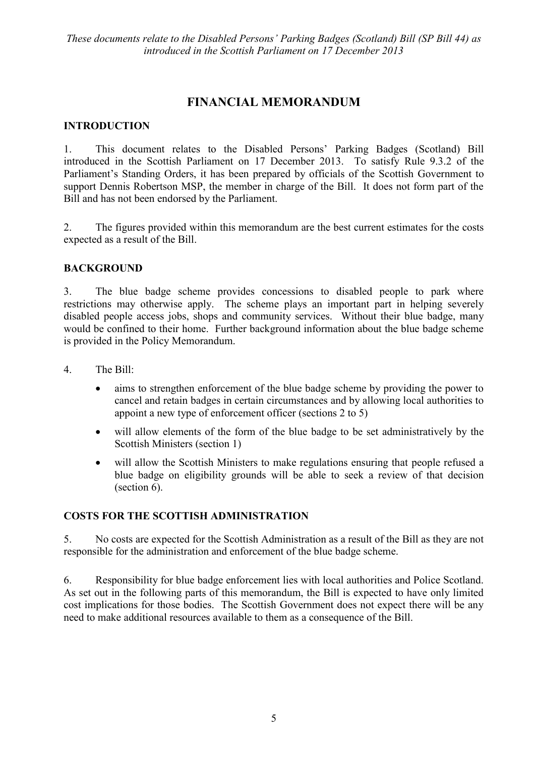# **FINANCIAL MEMORANDUM**

#### **INTRODUCTION**

1. This document relates to the Disabled Persons' Parking Badges (Scotland) Bill introduced in the Scottish Parliament on 17 December 2013. To satisfy Rule 9.3.2 of the Parliament's Standing Orders, it has been prepared by officials of the Scottish Government to support Dennis Robertson MSP, the member in charge of the Bill. It does not form part of the Bill and has not been endorsed by the Parliament.

2. The figures provided within this memorandum are the best current estimates for the costs expected as a result of the Bill.

#### **BACKGROUND**

3. The blue badge scheme provides concessions to disabled people to park where restrictions may otherwise apply. The scheme plays an important part in helping severely disabled people access jobs, shops and community services. Without their blue badge, many would be confined to their home. Further background information about the blue badge scheme is provided in the Policy Memorandum.

- 4. The Bill:
	- aims to strengthen enforcement of the blue badge scheme by providing the power to cancel and retain badges in certain circumstances and by allowing local authorities to appoint a new type of enforcement officer (sections 2 to 5)
	- will allow elements of the form of the blue badge to be set administratively by the Scottish Ministers (section 1)
	- will allow the Scottish Ministers to make regulations ensuring that people refused a blue badge on eligibility grounds will be able to seek a review of that decision (section 6).

### **COSTS FOR THE SCOTTISH ADMINISTRATION**

5. No costs are expected for the Scottish Administration as a result of the Bill as they are not responsible for the administration and enforcement of the blue badge scheme.

6. Responsibility for blue badge enforcement lies with local authorities and Police Scotland. As set out in the following parts of this memorandum, the Bill is expected to have only limited cost implications for those bodies. The Scottish Government does not expect there will be any need to make additional resources available to them as a consequence of the Bill.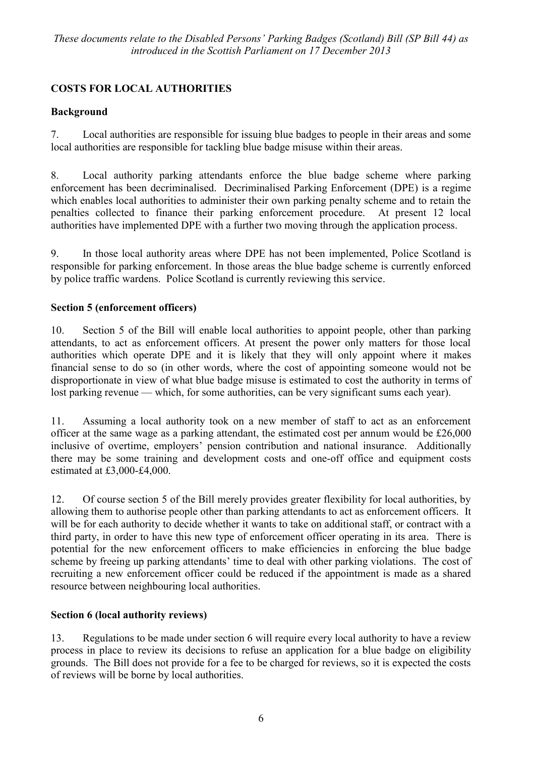# **COSTS FOR LOCAL AUTHORITIES**

# **Background**

7. Local authorities are responsible for issuing blue badges to people in their areas and some local authorities are responsible for tackling blue badge misuse within their areas.

8. Local authority parking attendants enforce the blue badge scheme where parking enforcement has been decriminalised. Decriminalised Parking Enforcement (DPE) is a regime which enables local authorities to administer their own parking penalty scheme and to retain the penalties collected to finance their parking enforcement procedure. At present 12 local authorities have implemented DPE with a further two moving through the application process.

9. In those local authority areas where DPE has not been implemented, Police Scotland is responsible for parking enforcement. In those areas the blue badge scheme is currently enforced by police traffic wardens. Police Scotland is currently reviewing this service.

# **Section 5 (enforcement officers)**

10. Section 5 of the Bill will enable local authorities to appoint people, other than parking attendants, to act as enforcement officers. At present the power only matters for those local authorities which operate DPE and it is likely that they will only appoint where it makes financial sense to do so (in other words, where the cost of appointing someone would not be disproportionate in view of what blue badge misuse is estimated to cost the authority in terms of lost parking revenue — which, for some authorities, can be very significant sums each year).

11. Assuming a local authority took on a new member of staff to act as an enforcement officer at the same wage as a parking attendant, the estimated cost per annum would be £26,000 inclusive of overtime, employers' pension contribution and national insurance. Additionally there may be some training and development costs and one-off office and equipment costs estimated at £3,000-£4,000.

12. Of course section 5 of the Bill merely provides greater flexibility for local authorities, by allowing them to authorise people other than parking attendants to act as enforcement officers. It will be for each authority to decide whether it wants to take on additional staff, or contract with a third party, in order to have this new type of enforcement officer operating in its area. There is potential for the new enforcement officers to make efficiencies in enforcing the blue badge scheme by freeing up parking attendants' time to deal with other parking violations. The cost of recruiting a new enforcement officer could be reduced if the appointment is made as a shared resource between neighbouring local authorities.

# **Section 6 (local authority reviews)**

13. Regulations to be made under section 6 will require every local authority to have a review process in place to review its decisions to refuse an application for a blue badge on eligibility grounds. The Bill does not provide for a fee to be charged for reviews, so it is expected the costs of reviews will be borne by local authorities.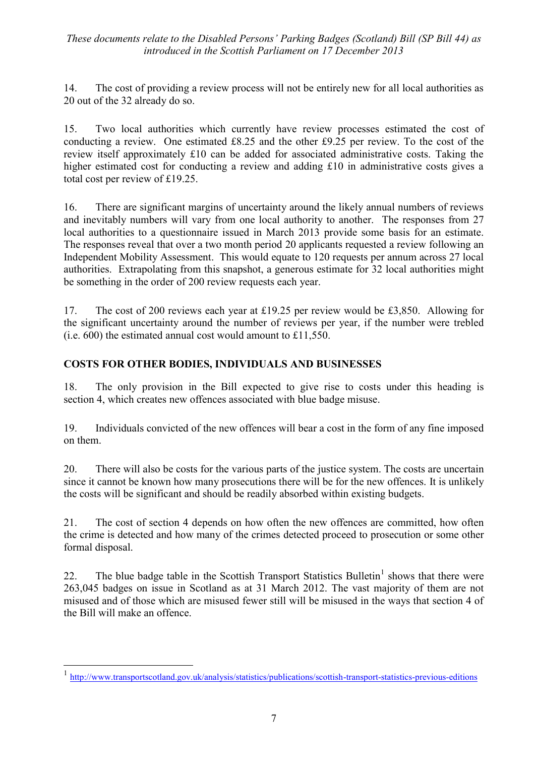14. The cost of providing a review process will not be entirely new for all local authorities as 20 out of the 32 already do so.

15. Two local authorities which currently have review processes estimated the cost of conducting a review. One estimated £8.25 and the other £9.25 per review. To the cost of the review itself approximately £10 can be added for associated administrative costs. Taking the higher estimated cost for conducting a review and adding £10 in administrative costs gives a total cost per review of £19.25.

16. There are significant margins of uncertainty around the likely annual numbers of reviews and inevitably numbers will vary from one local authority to another. The responses from 27 local authorities to a questionnaire issued in March 2013 provide some basis for an estimate. The responses reveal that over a two month period 20 applicants requested a review following an Independent Mobility Assessment. This would equate to 120 requests per annum across 27 local authorities. Extrapolating from this snapshot, a generous estimate for 32 local authorities might be something in the order of 200 review requests each year.

17. The cost of 200 reviews each year at £19.25 per review would be £3,850. Allowing for the significant uncertainty around the number of reviews per year, if the number were trebled (i.e. 600) the estimated annual cost would amount to £11,550.

# **COSTS FOR OTHER BODIES, INDIVIDUALS AND BUSINESSES**

18. The only provision in the Bill expected to give rise to costs under this heading is section 4, which creates new offences associated with blue badge misuse.

19. Individuals convicted of the new offences will bear a cost in the form of any fine imposed on them.

20. There will also be costs for the various parts of the justice system. The costs are uncertain since it cannot be known how many prosecutions there will be for the new offences. It is unlikely the costs will be significant and should be readily absorbed within existing budgets.

21. The cost of section 4 depends on how often the new offences are committed, how often the crime is detected and how many of the crimes detected proceed to prosecution or some other formal disposal.

22. The blue badge table in the Scottish Transport Statistics Bulletin<sup>1</sup> shows that there were 263,045 badges on issue in Scotland as at 31 March 2012. The vast majority of them are not misused and of those which are misused fewer still will be misused in the ways that section 4 of the Bill will make an offence.

 $\overline{a}$ 

<sup>1</sup> <http://www.transportscotland.gov.uk/analysis/statistics/publications/scottish-transport-statistics-previous-editions>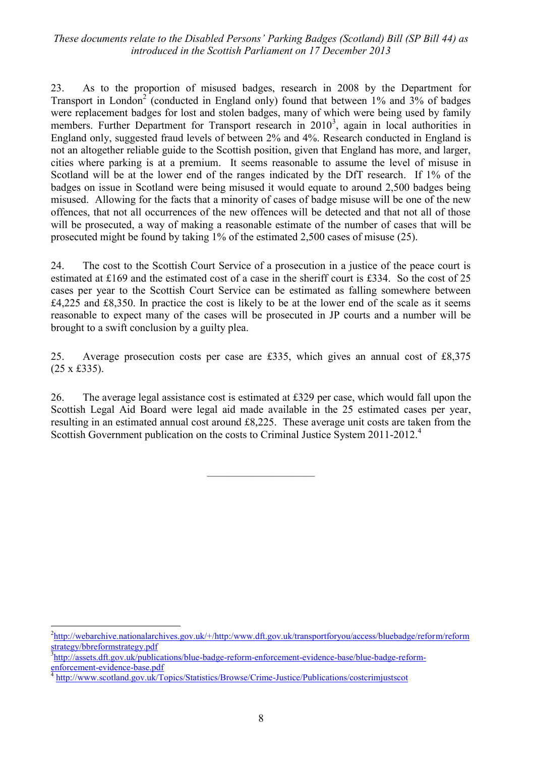23. As to the proportion of misused badges, research in 2008 by the Department for Transport in London<sup>2</sup> (conducted in England only) found that between  $1\%$  and  $3\%$  of badges were replacement badges for lost and stolen badges, many of which were being used by family members. Further Department for Transport research in  $2010<sup>3</sup>$ , again in local authorities in England only, suggested fraud levels of between 2% and 4%. Research conducted in England is not an altogether reliable guide to the Scottish position, given that England has more, and larger, cities where parking is at a premium. It seems reasonable to assume the level of misuse in Scotland will be at the lower end of the ranges indicated by the DfT research. If 1% of the badges on issue in Scotland were being misused it would equate to around 2,500 badges being misused. Allowing for the facts that a minority of cases of badge misuse will be one of the new offences, that not all occurrences of the new offences will be detected and that not all of those will be prosecuted, a way of making a reasonable estimate of the number of cases that will be prosecuted might be found by taking 1% of the estimated 2,500 cases of misuse (25).

24. The cost to the Scottish Court Service of a prosecution in a justice of the peace court is estimated at £169 and the estimated cost of a case in the sheriff court is £334. So the cost of 25 cases per year to the Scottish Court Service can be estimated as falling somewhere between £4,225 and £8,350. In practice the cost is likely to be at the lower end of the scale as it seems reasonable to expect many of the cases will be prosecuted in JP courts and a number will be brought to a swift conclusion by a guilty plea.

25. Average prosecution costs per case are £335, which gives an annual cost of £8,375 (25 x £335).

26. The average legal assistance cost is estimated at £329 per case, which would fall upon the Scottish Legal Aid Board were legal aid made available in the 25 estimated cases per year, resulting in an estimated annual cost around £8,225. These average unit costs are taken from the Scottish Government publication on the costs to Criminal Justice System 2011-2012.<sup>4</sup>

——————————

1

<sup>&</sup>lt;sup>2</sup>[http://webarchive.nationalarchives.gov.uk/+/http:/www.dft.gov.uk/transportforyou/access/bluebadge/reform/reform](http://webarchive.nationalarchives.gov.uk/+/http:/www.dft.gov.uk/transportforyou/access/bluebadge/reform/reformstrategy/bbreformstrategy.pdf) [strategy/bbreformstrategy.pdf](http://webarchive.nationalarchives.gov.uk/+/http:/www.dft.gov.uk/transportforyou/access/bluebadge/reform/reformstrategy/bbreformstrategy.pdf)

<sup>&</sup>lt;sup>3</sup>[http://assets.dft.gov.uk/publications/blue-badge-reform-enforcement-evidence-base/blue-badge-reform](http://assets.dft.gov.uk/publications/blue-badge-reform-enforcement-evidence-base/blue-badge-reform-enforcement-evidence-base.pdf)[enforcement-evidence-base.pdf](http://assets.dft.gov.uk/publications/blue-badge-reform-enforcement-evidence-base/blue-badge-reform-enforcement-evidence-base.pdf)

<sup>4</sup> <http://www.scotland.gov.uk/Topics/Statistics/Browse/Crime-Justice/Publications/costcrimjustscot>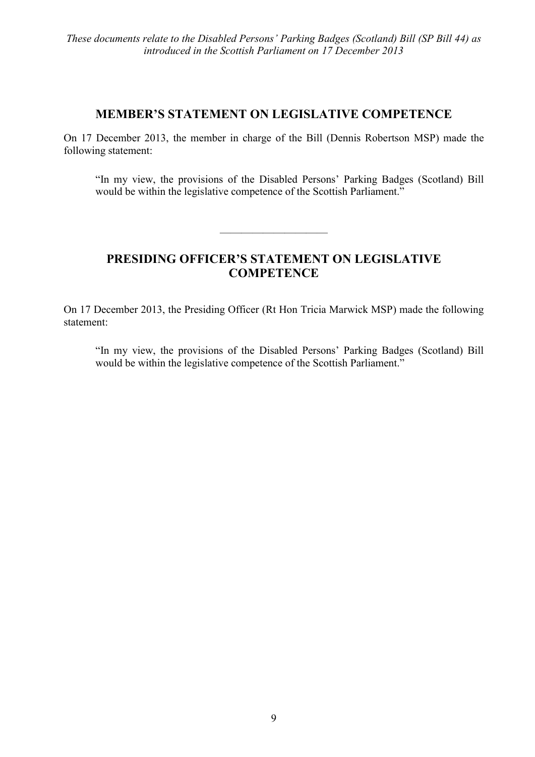# **MEMBER'S STATEMENT ON LEGISLATIVE COMPETENCE**

On 17 December 2013, the member in charge of the Bill (Dennis Robertson MSP) made the following statement:

―In my view, the provisions of the Disabled Persons' Parking Badges (Scotland) Bill would be within the legislative competence of the Scottish Parliament."

# **PRESIDING OFFICER'S STATEMENT ON LEGISLATIVE COMPETENCE**

——————————

On 17 December 2013, the Presiding Officer (Rt Hon Tricia Marwick MSP) made the following statement:

―In my view, the provisions of the Disabled Persons' Parking Badges (Scotland) Bill would be within the legislative competence of the Scottish Parliament."